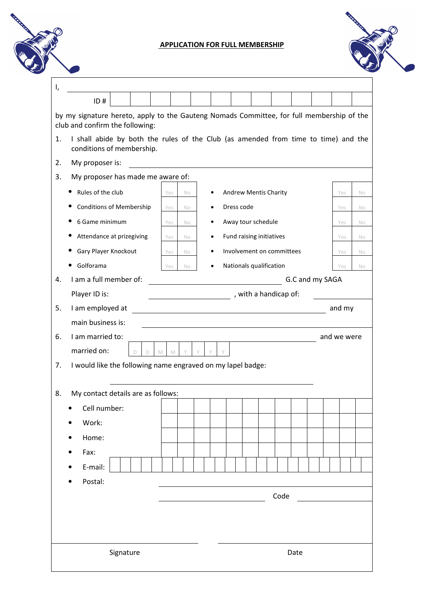

## APPLICATION FOR FULL MEMBERSHIP



| I,                                                                                                                           |                                                                                                                 |                            |    |                                |   |            |  |                          |                              |                 |             |        |    |
|------------------------------------------------------------------------------------------------------------------------------|-----------------------------------------------------------------------------------------------------------------|----------------------------|----|--------------------------------|---|------------|--|--------------------------|------------------------------|-----------------|-------------|--------|----|
|                                                                                                                              | ID#                                                                                                             |                            |    |                                |   |            |  |                          |                              |                 |             |        |    |
| by my signature hereto, apply to the Gauteng Nomads Committee, for full membership of the<br>club and confirm the following: |                                                                                                                 |                            |    |                                |   |            |  |                          |                              |                 |             |        |    |
| 1.                                                                                                                           | I shall abide by both the rules of the Club (as amended from time to time) and the<br>conditions of membership. |                            |    |                                |   |            |  |                          |                              |                 |             |        |    |
| 2.                                                                                                                           | My proposer is:                                                                                                 |                            |    |                                |   |            |  |                          |                              |                 |             |        |    |
| 3.                                                                                                                           | My proposer has made me aware of:                                                                               |                            |    |                                |   |            |  |                          |                              |                 |             |        |    |
|                                                                                                                              | Rules of the club                                                                                               | Yes                        | No |                                |   |            |  |                          | <b>Andrew Mentis Charity</b> |                 |             | Yes    | No |
|                                                                                                                              | <b>Conditions of Membership</b>                                                                                 | Yes                        | No |                                |   | Dress code |  |                          |                              |                 |             | Yes    | No |
|                                                                                                                              | 6 Game minimum                                                                                                  | Yes                        | No |                                |   |            |  | Away tour schedule       |                              |                 |             | Yes    | No |
|                                                                                                                              | Attendance at prizegiving                                                                                       | Yes                        | No |                                | ٠ |            |  | Fund raising initiatives |                              |                 |             | Yes    | No |
|                                                                                                                              | Gary Player Knockout                                                                                            | Yes                        | No |                                |   |            |  |                          | Involvement on committees    |                 |             | Yes    | No |
|                                                                                                                              | Golforama                                                                                                       | Yes                        | No |                                | ٠ |            |  | Nationals qualification  |                              |                 |             | Yes    | No |
| 4.                                                                                                                           | I am a full member of:                                                                                          |                            |    |                                |   |            |  |                          |                              | G.C and my SAGA |             |        |    |
|                                                                                                                              | Player ID is:                                                                                                   |                            |    | merger of: yith a handicap of: |   |            |  |                          |                              |                 |             |        |    |
| 5.                                                                                                                           | I am employed at                                                                                                |                            |    |                                |   |            |  |                          |                              |                 |             | and my |    |
|                                                                                                                              | main business is:                                                                                               |                            |    |                                |   |            |  |                          |                              |                 |             |        |    |
| 6.                                                                                                                           | I am married to:                                                                                                |                            |    |                                |   |            |  |                          |                              |                 | and we were |        |    |
|                                                                                                                              | married on:<br>$\Box$<br>D                                                                                      | $\mathbb M$<br>$\mathbb M$ | Y  | Y                              |   |            |  |                          |                              |                 |             |        |    |
| I would like the following name engraved on my lapel badge:<br>7.                                                            |                                                                                                                 |                            |    |                                |   |            |  |                          |                              |                 |             |        |    |
|                                                                                                                              |                                                                                                                 |                            |    |                                |   |            |  |                          |                              |                 |             |        |    |
| 8.                                                                                                                           | My contact details are as follows:                                                                              |                            |    |                                |   |            |  |                          |                              |                 |             |        |    |
|                                                                                                                              | Cell number:                                                                                                    |                            |    |                                |   |            |  |                          |                              |                 |             |        |    |
|                                                                                                                              | Work:                                                                                                           |                            |    |                                |   |            |  |                          |                              |                 |             |        |    |
|                                                                                                                              | Home:                                                                                                           |                            |    |                                |   |            |  |                          |                              |                 |             |        |    |
|                                                                                                                              | Fax:                                                                                                            |                            |    |                                |   |            |  |                          |                              |                 |             |        |    |
|                                                                                                                              | E-mail:                                                                                                         |                            |    |                                |   |            |  |                          |                              |                 |             |        |    |
|                                                                                                                              | Postal:                                                                                                         |                            |    |                                |   |            |  |                          |                              |                 |             |        |    |
|                                                                                                                              |                                                                                                                 | Code                       |    |                                |   |            |  |                          |                              |                 |             |        |    |
|                                                                                                                              |                                                                                                                 |                            |    |                                |   |            |  |                          |                              |                 |             |        |    |
|                                                                                                                              |                                                                                                                 |                            |    |                                |   |            |  |                          |                              |                 |             |        |    |
|                                                                                                                              |                                                                                                                 |                            |    |                                |   |            |  |                          |                              |                 |             |        |    |
|                                                                                                                              | Signature                                                                                                       |                            |    |                                |   |            |  |                          |                              | Date            |             |        |    |
|                                                                                                                              |                                                                                                                 |                            |    |                                |   |            |  |                          |                              |                 |             |        |    |